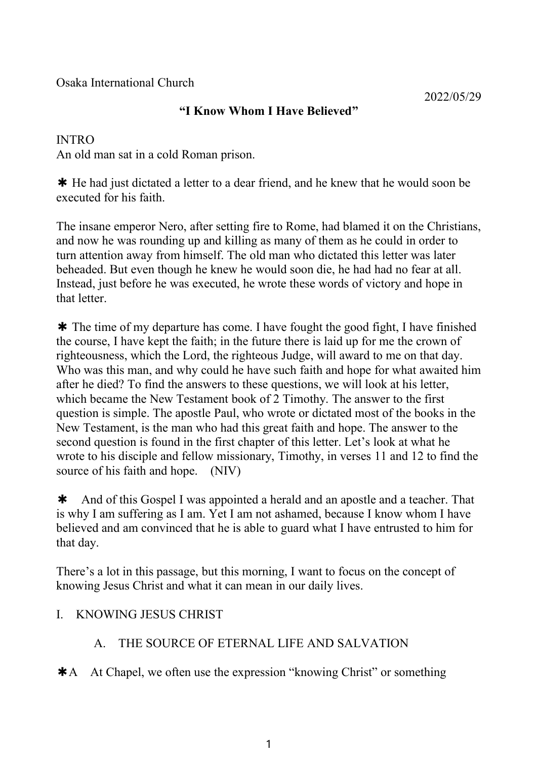Osaka International Church

# **"I Know Whom I Have Believed"**

## INTRO

An old man sat in a cold Roman prison.

✱ He had just dictated a letter to a dear friend, and he knew that he would soon be executed for his faith.

The insane emperor Nero, after setting fire to Rome, had blamed it on the Christians, and now he was rounding up and killing as many of them as he could in order to turn attention away from himself. The old man who dictated this letter was later beheaded. But even though he knew he would soon die, he had had no fear at all. Instead, just before he was executed, he wrote these words of victory and hope in that letter.

✱ The time of my departure has come. I have fought the good fight, I have finished the course, I have kept the faith; in the future there is laid up for me the crown of righteousness, which the Lord, the righteous Judge, will award to me on that day. Who was this man, and why could he have such faith and hope for what awaited him after he died? To find the answers to these questions, we will look at his letter, which became the New Testament book of 2 Timothy. The answer to the first question is simple. The apostle Paul, who wrote or dictated most of the books in the New Testament, is the man who had this great faith and hope. The answer to the second question is found in the first chapter of this letter. Let's look at what he wrote to his disciple and fellow missionary, Timothy, in verses 11 and 12 to find the source of his faith and hope. (NIV)

✱ And of this Gospel I was appointed a herald and an apostle and a teacher. That is why I am suffering as I am. Yet I am not ashamed, because I know whom I have believed and am convinced that he is able to guard what I have entrusted to him for that day.

There's a lot in this passage, but this morning, I want to focus on the concept of knowing Jesus Christ and what it can mean in our daily lives.

# I. KNOWING JESUS CHRIST

# A. THE SOURCE OF ETERNAL LIFE AND SALVATION

✱A At Chapel, we often use the expression "knowing Christ" or something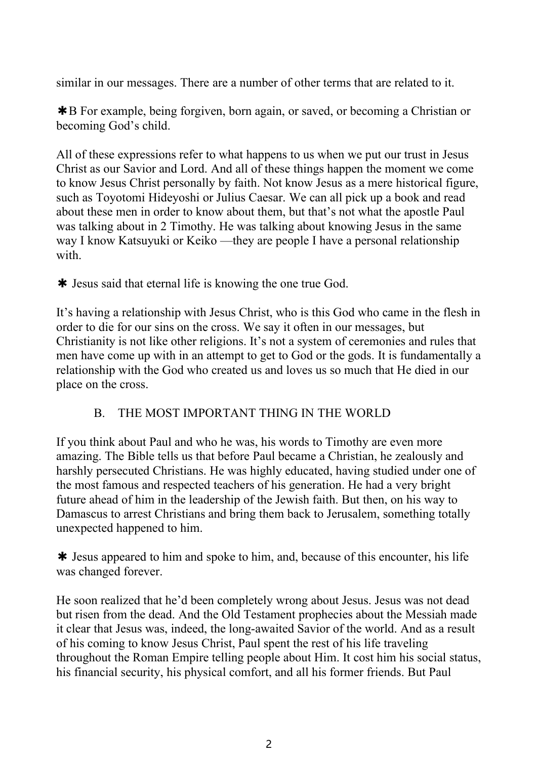similar in our messages. There are a number of other terms that are related to it.

✱B For example, being forgiven, born again, or saved, or becoming a Christian or becoming God's child.

All of these expressions refer to what happens to us when we put our trust in Jesus Christ as our Savior and Lord. And all of these things happen the moment we come to know Jesus Christ personally by faith. Not know Jesus as a mere historical figure, such as Toyotomi Hideyoshi or Julius Caesar. We can all pick up a book and read about these men in order to know about them, but that's not what the apostle Paul was talking about in 2 Timothy. He was talking about knowing Jesus in the same way I know Katsuyuki or Keiko —they are people I have a personal relationship with.

✱ Jesus said that eternal life is knowing the one true God.

It's having a relationship with Jesus Christ, who is this God who came in the flesh in order to die for our sins on the cross. We say it often in our messages, but Christianity is not like other religions. It's not a system of ceremonies and rules that men have come up with in an attempt to get to God or the gods. It is fundamentally a relationship with the God who created us and loves us so much that He died in our place on the cross.

# B. THE MOST IMPORTANT THING IN THE WORLD

If you think about Paul and who he was, his words to Timothy are even more amazing. The Bible tells us that before Paul became a Christian, he zealously and harshly persecuted Christians. He was highly educated, having studied under one of the most famous and respected teachers of his generation. He had a very bright future ahead of him in the leadership of the Jewish faith. But then, on his way to Damascus to arrest Christians and bring them back to Jerusalem, something totally unexpected happened to him.

✱ Jesus appeared to him and spoke tohim, and, because of this encounter, his life was changed forever.

He soon realized that he'd been completely wrong about Jesus. Jesus was not dead but risen from the dead. And the Old Testament prophecies about the Messiah made it clear that Jesus was, indeed, the long-awaited Savior of the world. And as a result of his coming to know Jesus Christ, Paul spent the rest of his life traveling throughout the Roman Empire telling people about Him. It cost him his social status, his financial security, his physical comfort, and all his former friends. But Paul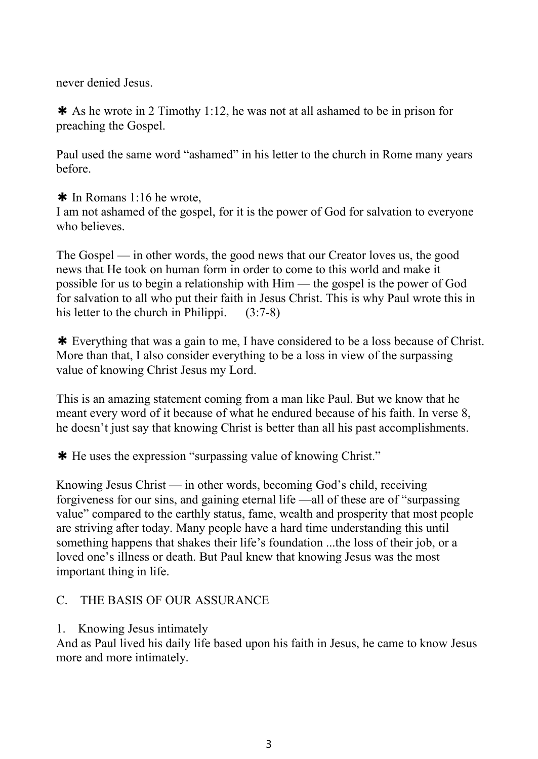never denied Jesus.

✱ As he wrote in 2 Timothy 1:12, he was not at all ashamed to be in prison for preaching the Gospel.

Paul used the same word "ashamed" in his letter to the church in Rome many years before.

✱ In Romans 1:16 he wrote,

I am not ashamed of the gospel, for it is the power of God for salvation to everyone who believes.

The Gospel — in other words, the good news that our Creator loves us, the good news that He took on human form in order to come to this world and make it possible for us to begin a relationship with Him — the gospel is the power of God for salvation to all who put their faith in Jesus Christ. This is why Paul wrote this in his letter to the church in Philippi.  $(3:7-8)$ 

✱ Everything that was a gain to me, I have considered to be a loss because of Christ. More than that, I also consider everything to be a loss in view of the surpassing value of knowing Christ Jesus my Lord.

This is an amazing statement coming from a man like Paul. But we know that he meant every word of it because of what he endured because of his faith. In verse 8, he doesn't just say that knowing Christ is better than all his past accomplishments.

✱ He uses the expression "surpassing value of knowing Christ."

Knowing Jesus Christ — in other words, becoming God's child, receiving forgiveness for our sins, and gaining eternal life —all of these are of "surpassing value" compared to the earthly status, fame, wealth and prosperity that most people are striving after today. Many people have a hard time understanding this until something happens that shakes their life's foundation ...the loss of their job, or a loved one's illness or death. But Paul knew that knowing Jesus was the most important thing in life.

#### C. THE BASIS OF OUR ASSURANCE

1. Knowing Jesus intimately

And as Paul lived his daily life based upon his faith in Jesus, he came to know Jesus more and more intimately.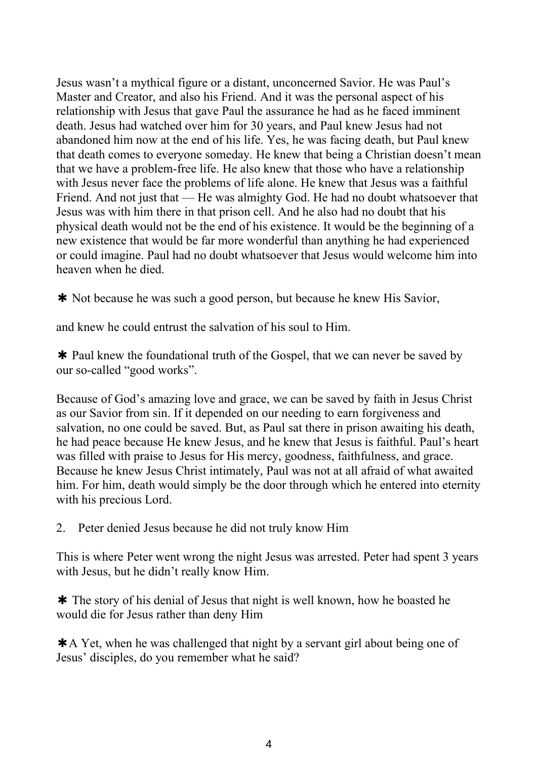Jesus wasn't a mythical figure or a distant, unconcerned Savior. He was Paul's Master and Creator, and also his Friend. And it was the personal aspect of his relationship with Jesus that gave Paul the assurance he had as he faced imminent death. Jesus had watched over him for 30 years, and Paul knew Jesus had not abandoned him now at the end of his life. Yes, he was facing death, but Paul knew that death comes to everyone someday. He knew that beinga Christian doesn't mean that we have a problem-free life. He also knew that those who have a relationship with Jesus never face the problems of life alone. He knew that Jesus was a faithful Friend. And not just that — He was almighty God. He had no doubt whatsoever that Jesus was with him there in that prison cell. And he also had no doubt that his physical death would not be the end of his existence. It would be the beginning of a new existence that would be far more wonderful than anything he had experienced or could imagine. Paul had no doubt whatsoever that Jesus would welcome him into heaven when he died.

✱ Not because he was such a good person, but because he knew His Savior,

and knew he could entrust the salvation of his soul to Him.

✱ Paul knew the foundational truth of the Gospel, that we can never be saved by our so-called "good works".

Because of God's amazing love and grace, we can be saved by faith in Jesus Christ as our Savior from sin. If it depended on our needing to earn forgiveness and salvation, no one could be saved. But, as Paul sat there in prison awaiting his death, he had peace because He knew Jesus, and he knew that Jesus is faithful. Paul's heart was filled with praise to Jesus for His mercy, goodness, faithfulness, and grace. Because he knew Jesus Christ intimately, Paul was not at all afraid of what awaited him. For him, death would simply be the door through which he entered into eternity with his precious Lord.

2. Peter denied Jesus because he did not truly know Him

This is where Peter went wrong the night Jesus was arrested. Peter had spent 3 years with Jesus, but he didn't really know Him.

✱ The story of his denial of Jesus that night is well known, how he boasted he would die for Jesus rather than deny Him

 $*$ A Yet, when he was challenged that night by a servant girl about being one of Jesus' disciples, do you remember what he said?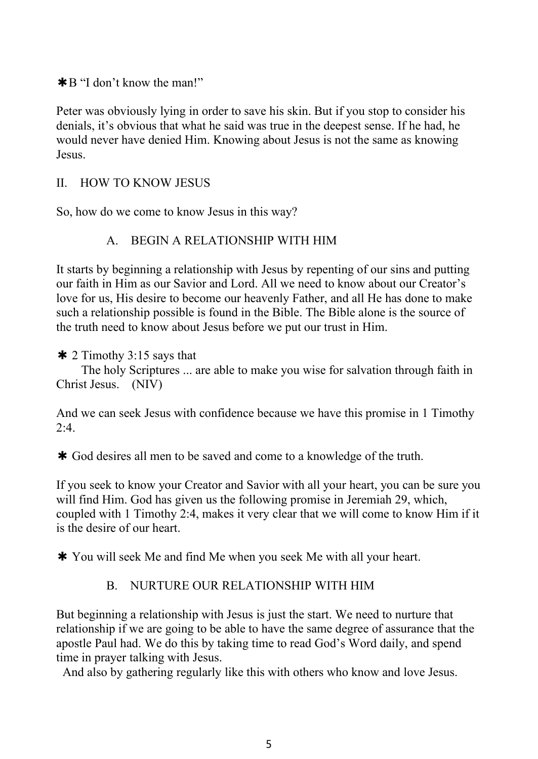✱B "I don't know the man!"

Peter was obviously lying in order to save his skin. But if you stop to consider his denials, it's obvious that what he said was true in the deepest sense. If he had, he would never have denied Him. Knowing about Jesus is not the same as knowing Jesus.

### II. HOW TO KNOW JESUS

So, how do we come to know Jesus in this way?

### A. BEGIN A RELATIONSHIP WITH HIM

It starts by beginning a relationship with Jesus by repenting of our sins and putting our faith in Him as our Savior and Lord. All we need to know about our Creator's love for us, His desire to become our heavenly Father, and all He has done to make such a relationship possible is found in the Bible. The Bible alone is the source of the truth need to know about Jesus before we put our trust in Him.

#### $\ast$  2 Timothy 3:15 says that

The holy Scriptures ... are able to make you wise for salvation through faith in Christ Jesus. (NIV)

And we can seek Jesus with confidence because we have this promise in 1 Timothy  $2:4.$ 

✱ God desires allmen to be saved and come to a knowledge of the truth.

If you seek to know your Creator and Savior with all your heart, you can be sure you will find Him. God has given us the following promise in Jeremiah 29, which, coupled with 1 Timothy 2:4, makes it very clear that we will come to know Him if it is the desire of our heart.

✱ You will seek Me and find Me when you seek Me with all your heart.

#### B. NURTURE OUR RELATIONSHIP WITH HIM

But beginning a relationship with Jesus is just the start. We need to nurture that relationship if we are going to be able to have the same degree of assurance that the apostle Paul had. We do this by taking time to read God's Word daily, and spend time in prayer talking with Jesus.

And also by gathering regularly like this with others who know and love Jesus.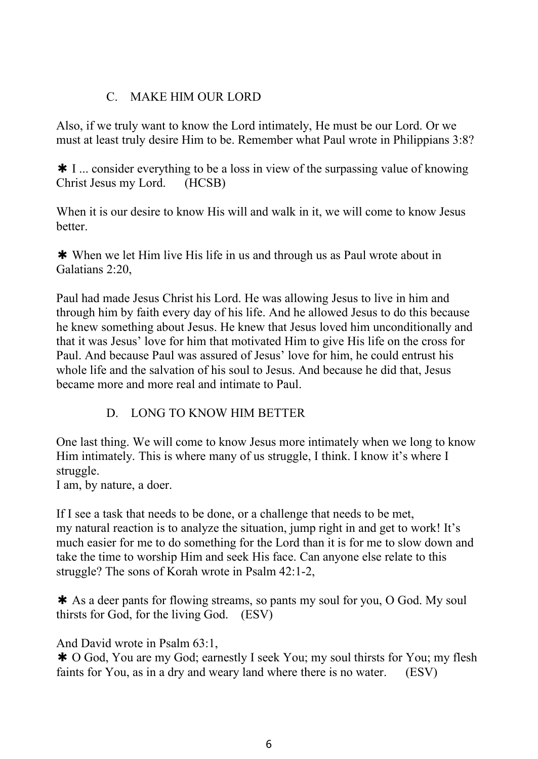## C. MAKE HIM OUR LORD

Also, if we truly want to know the Lord intimately, He must be our Lord. Or we must at least truly desire Him to be. Remember what Paul wrote in Philippians 3:8?

✱ I ... consider everything to be a loss in view of the surpassing value of knowing Christ Jesus my Lord. (HCSB)

When it is our desire to know His will and walk in it, we will come to know Jesus better.

✱ When we let Him live His life in us and through us as Paulwrote about in Galatians 2:20,

Paul had made Jesus Christ his Lord. He was allowing Jesus to live in him and through him by faith every day of his life. And he allowed Jesus to do this because he knew something about Jesus. He knew that Jesus loved him unconditionally and that it was Jesus' love for him that motivated Him to give His life on the cross for Paul. And because Paul was assured of Jesus' love for him, he could entrust his whole life and the salvation of his soul to Jesus. And because he did that, Jesus became more and more real and intimate to Paul.

# D. LONG TO KNOW HIM BETTER

One last thing. We will come to know Jesus more intimately when we long to know Him intimately. This is where many of us struggle, I think. I know it's where I struggle.

I am, by nature, a doer.

If I see a task that needs to be done, or a challenge that needs to be met, my natural reaction is to analyze the situation, jump right in and get to work! It's much easier for me to do something for the Lord than it is forme to slow down and take the time to worship Him and seek His face. Can anyone else relate to this struggle? The sons of Korah wrote in Psalm 42:1-2,

✱ As a deer pants for flowing streams, so pants my soul for you, O God. My soul thirsts for God, for the living God. (ESV)

And David wrote in Psalm 63:1,

**★ O God, You are my God; earnestly I seek You; my soul thirsts for You; my flesh** faints for You, as in a dry and weary land where there is no water. (ESV)